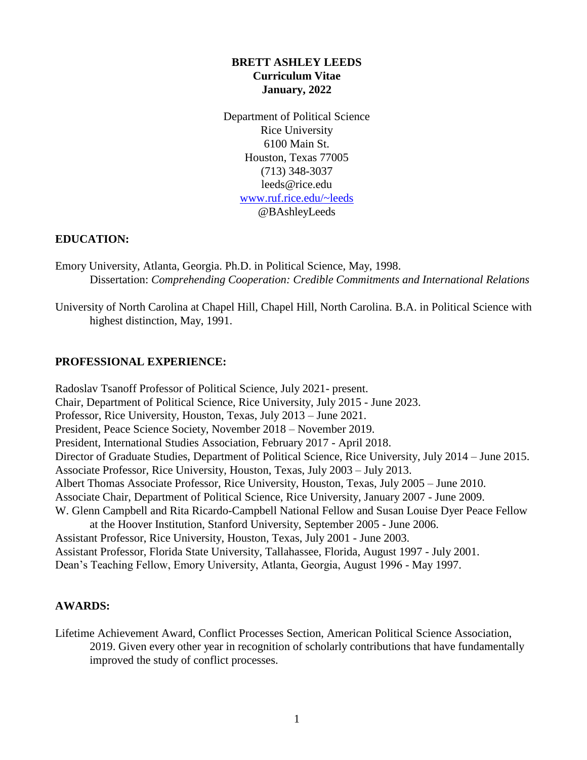## **BRETT ASHLEY LEEDS Curriculum Vitae January, 2022**

Department of Political Science Rice University 6100 Main St. Houston, Texas 77005 (713) 348-3037 [leeds@rice.edu](mailto:leeds@rice.edu) [www.ruf.rice.edu/~leeds](http://www.ruf.rice.edu/~leeds)  @BAshleyLeeds

### **EDUCATION:**

Emory University, Atlanta, Georgia. Ph.D. in Political Science, May, 1998. Dissertation: *Comprehending Cooperation: Credible Commitments and International Relations* 

University of North Carolina at Chapel Hill, Chapel Hill, North Carolina. B.A. in Political Science with highest distinction, May, 1991.

# **PROFESSIONAL EXPERIENCE:**

Radoslav Tsanoff Professor of Political Science, July 2021- present. Chair, Department of Political Science, Rice University, July 2015 - June 2023. Professor, Rice University, Houston, Texas, July 2013 – June 2021. President, Peace Science Society, November 2018 – November 2019. President, International Studies Association, February 2017 - April 2018. Director of Graduate Studies, Department of Political Science, Rice University, July 2014 – June 2015. Associate Professor, Rice University, Houston, Texas, July 2003 – July 2013. Albert Thomas Associate Professor, Rice University, Houston, Texas, July 2005 – June 2010. Associate Chair, Department of Political Science, Rice University, January 2007 - June 2009. W. Glenn Campbell and Rita Ricardo-Campbell National Fellow and Susan Louise Dyer Peace Fellow at the Hoover Institution, Stanford University, September 2005 - June 2006. Assistant Professor, Rice University, Houston, Texas, July 2001 - June 2003. Assistant Professor, Florida State University, Tallahassee, Florida, August 1997 - July 2001. Dean's Teaching Fellow, Emory University, Atlanta, Georgia, August 1996 - May 1997.

# **AWARDS:**

Lifetime Achievement Award, Conflict Processes Section, American Political Science Association, 2019. Given every other year in recognition of scholarly contributions that have fundamentally improved the study of conflict processes.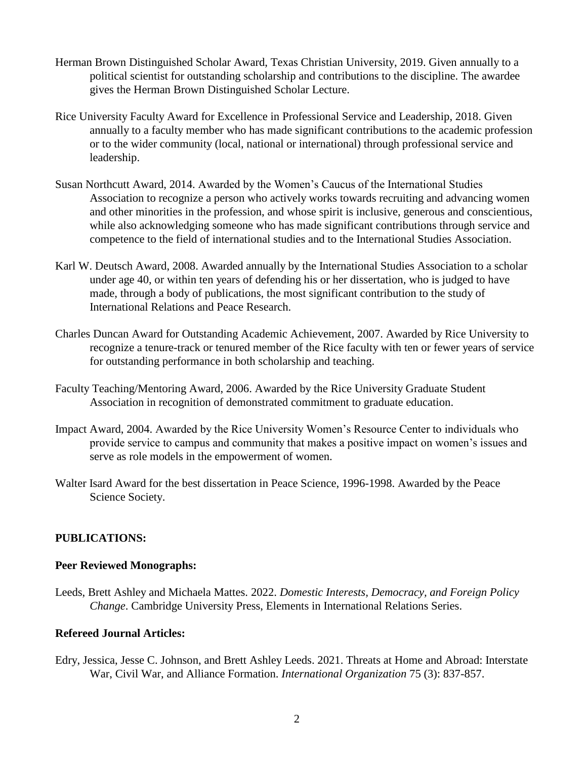- Herman Brown Distinguished Scholar Award, Texas Christian University, 2019. Given annually to a political scientist for outstanding scholarship and contributions to the discipline. The awardee gives the Herman Brown Distinguished Scholar Lecture.
- Rice University Faculty Award for Excellence in Professional Service and Leadership, 2018. Given annually to a faculty member who has made significant contributions to the academic profession or to the wider community (local, national or international) through professional service and leadership.
- Susan Northcutt Award, 2014. Awarded by the Women's Caucus of the International Studies Association to recognize a person who actively works towards recruiting and advancing women and other minorities in the profession, and whose spirit is inclusive, generous and conscientious, while also acknowledging someone who has made significant contributions through service and competence to the field of international studies and to the International Studies Association.
- Karl W. Deutsch Award, 2008. Awarded annually by the International Studies Association to a scholar under age 40, or within ten years of defending his or her dissertation, who is judged to have made, through a body of publications, the most significant contribution to the study of International Relations and Peace Research.
- Charles Duncan Award for Outstanding Academic Achievement, 2007. Awarded by Rice University to recognize a tenure-track or tenured member of the Rice faculty with ten or fewer years of service for outstanding performance in both scholarship and teaching.
- Faculty Teaching/Mentoring Award, 2006. Awarded by the Rice University Graduate Student Association in recognition of demonstrated commitment to graduate education.
- Impact Award, 2004. Awarded by the Rice University Women's Resource Center to individuals who provide service to campus and community that makes a positive impact on women's issues and serve as role models in the empowerment of women.
- Walter Isard Award for the best dissertation in Peace Science, 1996-1998. Awarded by the Peace Science Society.

# **PUBLICATIONS:**

# **Peer Reviewed Monographs:**

Leeds, Brett Ashley and Michaela Mattes. 2022. *Domestic Interests, Democracy, and Foreign Policy Change*. Cambridge University Press, Elements in International Relations Series.

# **Refereed Journal Articles:**

Edry, Jessica, Jesse C. Johnson, and Brett Ashley Leeds. 2021. Threats at Home and Abroad: Interstate War, Civil War, and Alliance Formation. *International Organization* 75 (3): 837-857.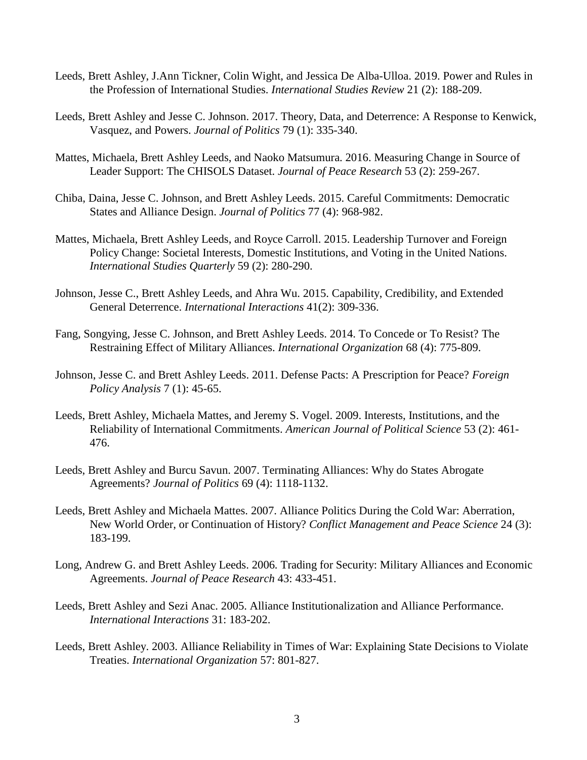- Leeds, Brett Ashley, J.Ann Tickner, Colin Wight, and Jessica De Alba-Ulloa. 2019. Power and Rules in the Profession of International Studies. *International Studies Review* 21 (2): 188-209.
- Leeds, Brett Ashley and Jesse C. Johnson. 2017. Theory, Data, and Deterrence: A Response to Kenwick, Vasquez, and Powers. *Journal of Politics* 79 (1): 335-340.
- Mattes, Michaela, Brett Ashley Leeds, and Naoko Matsumura. 2016. Measuring Change in Source of Leader Support: The CHISOLS Dataset. *Journal of Peace Research* 53 (2): 259-267.
- Chiba, Daina, Jesse C. Johnson, and Brett Ashley Leeds. 2015. Careful Commitments: Democratic States and Alliance Design. *Journal of Politics* 77 (4): 968-982.
- Mattes, Michaela, Brett Ashley Leeds, and Royce Carroll. 2015. Leadership Turnover and Foreign Policy Change: Societal Interests, Domestic Institutions, and Voting in the United Nations. *International Studies Quarterly* 59 (2): 280-290.
- Johnson, Jesse C., Brett Ashley Leeds, and Ahra Wu. 2015. Capability, Credibility, and Extended General Deterrence. *International Interactions* 41(2): 309-336.
- Fang, Songying, Jesse C. Johnson, and Brett Ashley Leeds. 2014. To Concede or To Resist? The Restraining Effect of Military Alliances. *International Organization* 68 (4): 775-809.
- Johnson, Jesse C. and Brett Ashley Leeds. 2011. Defense Pacts: A Prescription for Peace? *Foreign Policy Analysis* 7 (1): 45-65.
- Leeds, Brett Ashley, Michaela Mattes, and Jeremy S. Vogel. 2009. Interests, Institutions, and the Reliability of International Commitments. *American Journal of Political Science* 53 (2): 461- 476.
- Leeds, Brett Ashley and Burcu Savun. 2007. Terminating Alliances: Why do States Abrogate Agreements? *Journal of Politics* 69 (4): 1118-1132.
- Leeds, Brett Ashley and Michaela Mattes. 2007. Alliance Politics During the Cold War: Aberration, New World Order, or Continuation of History? *Conflict Management and Peace Science* 24 (3): 183-199.
- Long, Andrew G. and Brett Ashley Leeds. 2006*.* Trading for Security: Military Alliances and Economic Agreements. *Journal of Peace Research* 43: 433-451.
- Leeds, Brett Ashley and Sezi Anac. 2005. Alliance Institutionalization and Alliance Performance. *International Interactions* 31: 183-202.
- Leeds, Brett Ashley. 2003. Alliance Reliability in Times of War: Explaining State Decisions to Violate Treaties. *International Organization* 57: 801-827.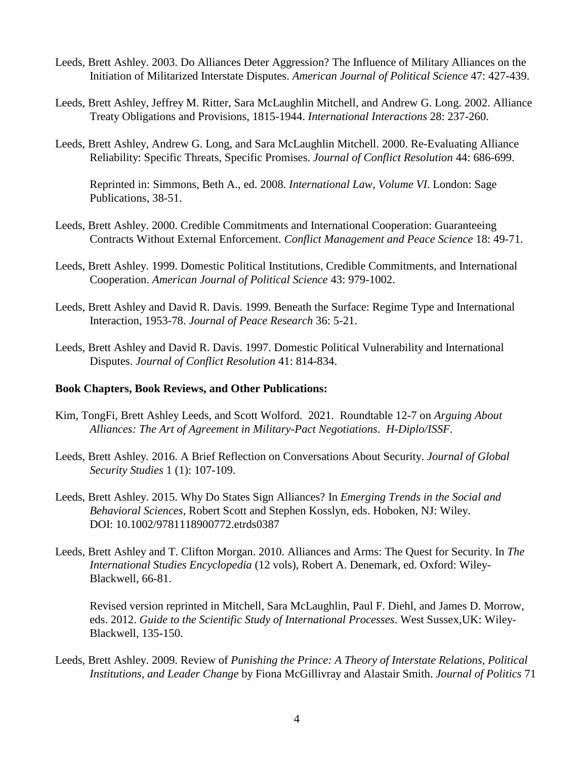- Leeds, Brett Ashley. 2003. Do Alliances Deter Aggression? The Influence of Military Alliances on the Initiation of Militarized Interstate Disputes. *American Journal of Political Science* 47: 427-439.
- Leeds, Brett Ashley, Jeffrey M. Ritter, Sara McLaughlin Mitchell, and Andrew G. Long. 2002. Alliance Treaty Obligations and Provisions, 1815-1944. *International Interactions* 28: 237-260.
- Leeds, Brett Ashley, Andrew G. Long, and Sara McLaughlin Mitchell. 2000. Re-Evaluating Alliance Reliability: Specific Threats, Specific Promises. *Journal of Conflict Resolution* 44: 686-699.

Reprinted in: Simmons, Beth A., ed. 2008. *International Law, Volume VI*. London: Sage Publications, 38-51.

- Leeds, Brett Ashley. 2000. Credible Commitments and International Cooperation: Guaranteeing Contracts Without External Enforcement. *Conflict Management and Peace Science* 18: 49-71.
- Leeds, Brett Ashley. 1999. Domestic Political Institutions, Credible Commitments, and International Cooperation. *American Journal of Political Science* 43: 979-1002.
- Leeds, Brett Ashley and David R. Davis. 1999*.* Beneath the Surface: Regime Type and International Interaction, 1953-78. *Journal of Peace Research* 36: 5-21.
- Leeds, Brett Ashley and David R. Davis. 1997. Domestic Political Vulnerability and International Disputes. *Journal of Conflict Resolution* 41: 814-834.

#### **Book Chapters, Book Reviews, and Other Publications:**

- Kim, TongFi, Brett Ashley Leeds, and Scott Wolford. 2021. Roundtable 12-7 on *Arguing About Alliances: The Art of Agreement in Military-Pact Negotiations*. *H-Diplo/ISSF.*
- Leeds, Brett Ashley*.* 2016. A Brief Reflection on Conversations About Security. *Journal of Global Security Studies* 1 (1): 107-109.
- Leeds, Brett Ashley. 2015. Why Do States Sign Alliances? In *Emerging Trends in the Social and Behavioral Sciences*, Robert Scott and Stephen Kosslyn, eds. Hoboken, NJ: Wiley. DOI: 10.1002/9781118900772.etrds0387
- Leeds, Brett Ashley and T. Clifton Morgan. 2010. Alliances and Arms: The Quest for Security. In *The International Studies Encyclopedia* (12 vols), Robert A. Denemark, ed. Oxford: Wiley-Blackwell, 66-81.

Revised version reprinted in Mitchell, Sara McLaughlin, Paul F. Diehl, and James D. Morrow, eds. 2012. *Guide to the Scientific Study of International Processes*. West Sussex,UK: Wiley-Blackwell, 135-150.

Leeds, Brett Ashley. 2009. Review of *Punishing the Prince: A Theory of Interstate Relations, Political Institutions, and Leader Change* by Fiona McGillivray and Alastair Smith. *Journal of Politics* 71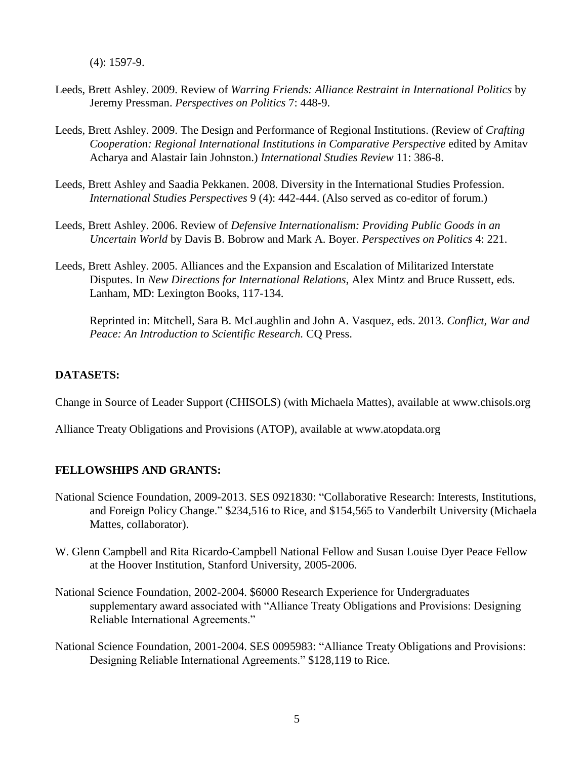(4): 1597-9.

- Leeds, Brett Ashley. 2009. Review of *Warring Friends: Alliance Restraint in International Politics* by Jeremy Pressman. *Perspectives on Politics* 7: 448-9.
- Leeds, Brett Ashley. 2009. The Design and Performance of Regional Institutions. (Review of *Crafting Cooperation: Regional International Institutions in Comparative Perspective edited by Amitav* Acharya and Alastair Iain Johnston.) *International Studies Review* 11: 386-8.
- Leeds, Brett Ashley and Saadia Pekkanen. 2008. Diversity in the International Studies Profession. *International Studies Perspectives* 9 (4): 442-444. (Also served as co-editor of forum.)
- Leeds, Brett Ashley. 2006. Review of *Defensive Internationalism: Providing Public Goods in an Uncertain World* by Davis B. Bobrow and Mark A. Boyer. *Perspectives on Politics* 4: 221.
- Leeds, Brett Ashley. 2005. Alliances and the Expansion and Escalation of Militarized Interstate Disputes. In *New Directions for International Relations*, Alex Mintz and Bruce Russett, eds. Lanham, MD: Lexington Books, 117-134.

Reprinted in: Mitchell, Sara B. McLaughlin and John A. Vasquez, eds. 2013. *Conflict, War and Peace: An Introduction to Scientific Research.* CQ Press.

# **DATASETS:**

Change in Source of Leader Support (CHISOLS) (with Michaela Mattes), available at<www.chisols.org>

Alliance Treaty Obligations and Provisions (ATOP), available at <www.atopdata.org>

# **FELLOWSHIPS AND GRANTS:**

- National Science Foundation, 2009-2013. SES 0921830: "Collaborative Research: Interests, Institutions, and Foreign Policy Change." \$234,516 to Rice, and \$154,565 to Vanderbilt University (Michaela Mattes, collaborator).
- W. Glenn Campbell and Rita Ricardo-Campbell National Fellow and Susan Louise Dyer Peace Fellow at the Hoover Institution, Stanford University, 2005-2006.
- National Science Foundation, 2002-2004. \$6000 Research Experience for Undergraduates supplementary award associated with "Alliance Treaty Obligations and Provisions: Designing Reliable International Agreements."
- National Science Foundation, 2001-2004. SES 0095983: "Alliance Treaty Obligations and Provisions: Designing Reliable International Agreements." \$128,119 to Rice.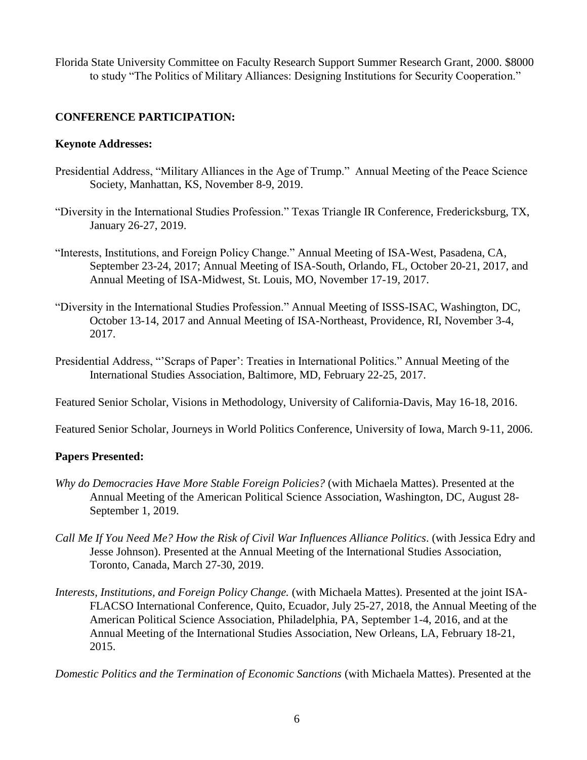Florida State University Committee on Faculty Research Support Summer Research Grant, 2000. \$8000 to study "The Politics of Military Alliances: Designing Institutions for Security Cooperation."

## **CONFERENCE PARTICIPATION:**

#### **Keynote Addresses:**

- Presidential Address, "Military Alliances in the Age of Trump." Annual Meeting of the Peace Science Society, Manhattan, KS, November 8-9, 2019.
- "Diversity in the International Studies Profession." Texas Triangle IR Conference, Fredericksburg, TX, January 26-27, 2019.
- "Interests, Institutions, and Foreign Policy Change." Annual Meeting of ISA-West, Pasadena, CA, September 23-24, 2017; Annual Meeting of ISA-South, Orlando, FL, October 20-21, 2017, and Annual Meeting of ISA-Midwest, St. Louis, MO, November 17-19, 2017.
- "Diversity in the International Studies Profession." Annual Meeting of ISSS-ISAC, Washington, DC, October 13-14, 2017 and Annual Meeting of ISA-Northeast, Providence, RI, November 3-4, 2017.
- Presidential Address, "'Scraps of Paper': Treaties in International Politics." Annual Meeting of the International Studies Association, Baltimore, MD, February 22-25, 2017.

Featured Senior Scholar, Visions in Methodology, University of California-Davis, May 16-18, 2016.

Featured Senior Scholar, Journeys in World Politics Conference, University of Iowa, March 9-11, 2006.

### **Papers Presented:**

- *Why do Democracies Have More Stable Foreign Policies?* (with Michaela Mattes). Presented at the Annual Meeting of the American Political Science Association, Washington, DC, August 28- September 1, 2019.
- *Call Me If You Need Me? How the Risk of Civil War Influences Alliance Politics*. (with Jessica Edry and Jesse Johnson). Presented at the Annual Meeting of the International Studies Association, Toronto, Canada, March 27-30, 2019.
- *Interests, Institutions, and Foreign Policy Change.* (with Michaela Mattes). Presented at the joint ISA-FLACSO International Conference, Quito, Ecuador, July 25-27, 2018, the Annual Meeting of the American Political Science Association, Philadelphia, PA, September 1-4, 2016, and at the Annual Meeting of the International Studies Association, New Orleans, LA, February 18-21, 2015.

*Domestic Politics and the Termination of Economic Sanctions* (with Michaela Mattes). Presented at the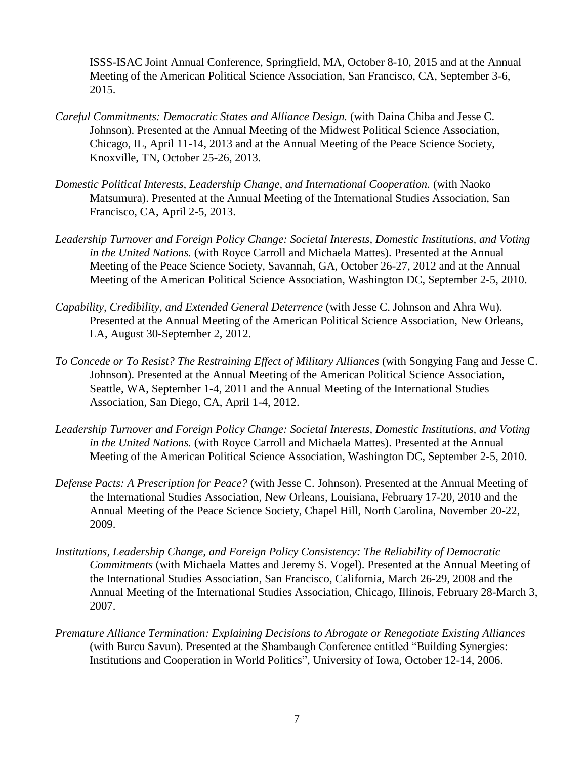ISSS-ISAC Joint Annual Conference, Springfield, MA, October 8-10, 2015 and at the Annual Meeting of the American Political Science Association, San Francisco, CA, September 3-6, 2015.

- *Careful Commitments: Democratic States and Alliance Design.* (with Daina Chiba and Jesse C. Johnson). Presented at the Annual Meeting of the Midwest Political Science Association, Chicago, IL, April 11-14, 2013 and at the Annual Meeting of the Peace Science Society, Knoxville, TN, October 25-26, 2013.
- *Domestic Political Interests, Leadership Change, and International Cooperation.* (with Naoko Matsumura). Presented at the Annual Meeting of the International Studies Association, San Francisco, CA, April 2-5, 2013.
- *Leadership Turnover and Foreign Policy Change: Societal Interests, Domestic Institutions, and Voting in the United Nations.* (with Royce Carroll and Michaela Mattes). Presented at the Annual Meeting of the Peace Science Society, Savannah, GA, October 26-27, 2012 and at the Annual Meeting of the American Political Science Association, Washington DC, September 2-5, 2010.
- *Capability, Credibility, and Extended General Deterrence* (with Jesse C. Johnson and Ahra Wu). Presented at the Annual Meeting of the American Political Science Association, New Orleans, LA, August 30-September 2, 2012.
- *To Concede or To Resist? The Restraining Effect of Military Alliances* (with Songying Fang and Jesse C. Johnson). Presented at the Annual Meeting of the American Political Science Association, Seattle, WA, September 1-4, 2011 and the Annual Meeting of the International Studies Association, San Diego, CA, April 1-4, 2012.
- *Leadership Turnover and Foreign Policy Change: Societal Interests, Domestic Institutions, and Voting in the United Nations.* (with Royce Carroll and Michaela Mattes). Presented at the Annual Meeting of the American Political Science Association, Washington DC, September 2-5, 2010.
- *Defense Pacts: A Prescription for Peace?* (with Jesse C. Johnson). Presented at the Annual Meeting of the International Studies Association, New Orleans, Louisiana, February 17-20, 2010 and the Annual Meeting of the Peace Science Society, Chapel Hill, North Carolina, November 20-22, 2009.
- *Institutions, Leadership Change, and Foreign Policy Consistency: The Reliability of Democratic Commitments* (with Michaela Mattes and Jeremy S. Vogel). Presented at the Annual Meeting of the International Studies Association, San Francisco, California, March 26-29, 2008 and the Annual Meeting of the International Studies Association, Chicago, Illinois, February 28-March 3, 2007.
- *Premature Alliance Termination: Explaining Decisions to Abrogate or Renegotiate Existing Alliances*  (with Burcu Savun). Presented at the Shambaugh Conference entitled "Building Synergies: Institutions and Cooperation in World Politics", University of Iowa, October 12-14, 2006.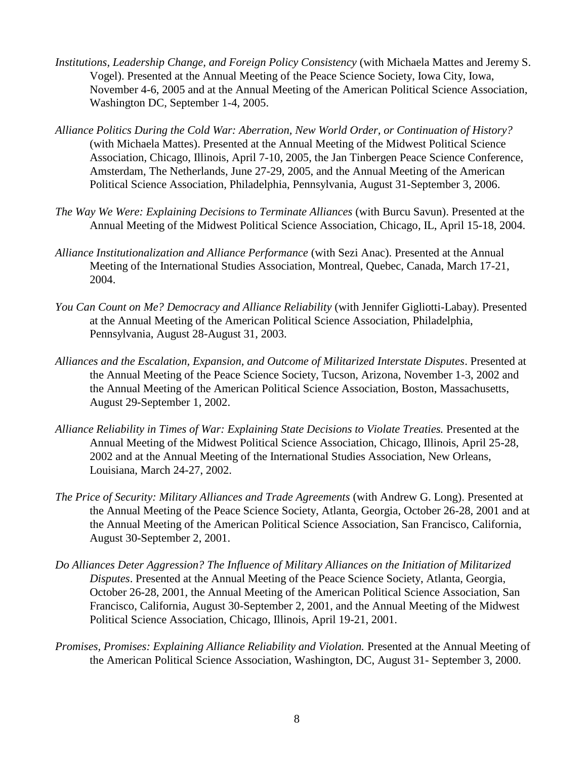- *Institutions, Leadership Change, and Foreign Policy Consistency* (with Michaela Mattes and Jeremy S. Vogel). Presented at the Annual Meeting of the Peace Science Society, Iowa City, Iowa, November 4-6, 2005 and at the Annual Meeting of the American Political Science Association, Washington DC, September 1-4, 2005.
- *Alliance Politics During the Cold War: Aberration, New World Order, or Continuation of History?*  (with Michaela Mattes). Presented at the Annual Meeting of the Midwest Political Science Association, Chicago, Illinois, April 7-10, 2005, the Jan Tinbergen Peace Science Conference, Amsterdam, The Netherlands, June 27-29, 2005, and the Annual Meeting of the American Political Science Association, Philadelphia, Pennsylvania, August 31-September 3, 2006.
- *The Way We Were: Explaining Decisions to Terminate Alliances* (with Burcu Savun). Presented at the Annual Meeting of the Midwest Political Science Association, Chicago, IL, April 15-18, 2004.
- *Alliance Institutionalization and Alliance Performance* (with Sezi Anac). Presented at the Annual Meeting of the International Studies Association, Montreal, Quebec, Canada, March 17-21, 2004.
- *You Can Count on Me? Democracy and Alliance Reliability* (with Jennifer Gigliotti-Labay). Presented at the Annual Meeting of the American Political Science Association, Philadelphia, Pennsylvania, August 28-August 31, 2003.
- *Alliances and the Escalation, Expansion, and Outcome of Militarized Interstate Disputes*. Presented at the Annual Meeting of the Peace Science Society, Tucson, Arizona, November 1-3, 2002 and the Annual Meeting of the American Political Science Association, Boston, Massachusetts, August 29-September 1, 2002.
- *Alliance Reliability in Times of War: Explaining State Decisions to Violate Treaties.* Presented at the Annual Meeting of the Midwest Political Science Association, Chicago, Illinois, April 25-28, 2002 and at the Annual Meeting of the International Studies Association, New Orleans, Louisiana, March 24-27, 2002.
- *The Price of Security: Military Alliances and Trade Agreements* (with Andrew G. Long). Presented at the Annual Meeting of the Peace Science Society, Atlanta, Georgia, October 26-28, 2001 and at the Annual Meeting of the American Political Science Association, San Francisco, California, August 30-September 2, 2001.
- *Do Alliances Deter Aggression? The Influence of Military Alliances on the Initiation of Militarized Disputes*. Presented at the Annual Meeting of the Peace Science Society, Atlanta, Georgia, October 26-28, 2001, the Annual Meeting of the American Political Science Association, San Francisco, California, August 30-September 2, 2001, and the Annual Meeting of the Midwest Political Science Association, Chicago, Illinois, April 19-21, 2001.
- *Promises, Promises: Explaining Alliance Reliability and Violation. Presented at the Annual Meeting of* the American Political Science Association, Washington, DC, August 31- September 3, 2000.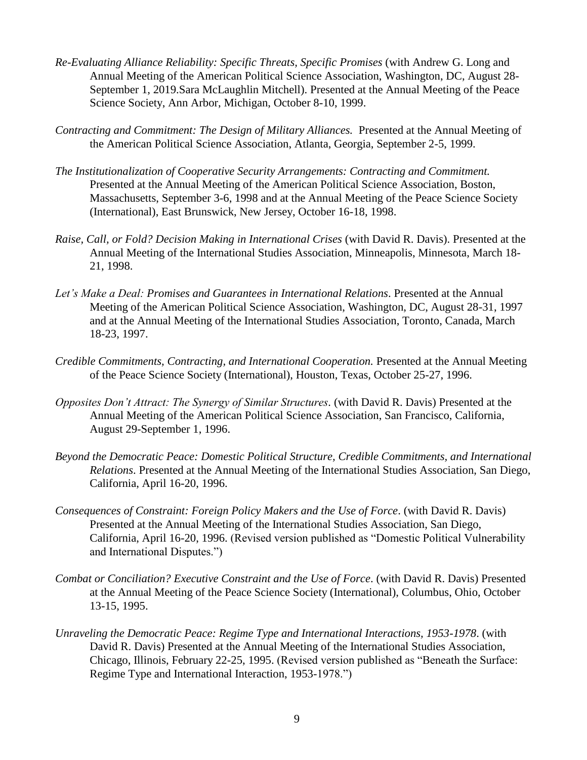- *Re-Evaluating Alliance Reliability: Specific Threats, Specific Promises* (with Andrew G. Long and Annual Meeting of the American Political Science Association, Washington, DC, August 28- September 1, 2019.Sara McLaughlin Mitchell). Presented at the Annual Meeting of the Peace Science Society, Ann Arbor, Michigan, October 8-10, 1999.
- *Contracting and Commitment: The Design of Military Alliances.* Presented at the Annual Meeting of the American Political Science Association, Atlanta, Georgia, September 2-5, 1999.
- *The Institutionalization of Cooperative Security Arrangements: Contracting and Commitment.*  Presented at the Annual Meeting of the American Political Science Association, Boston, Massachusetts, September 3-6, 1998 and at the Annual Meeting of the Peace Science Society (International), East Brunswick, New Jersey, October 16-18, 1998.
- *Raise, Call, or Fold? Decision Making in International Crises* (with David R. Davis). Presented at the Annual Meeting of the International Studies Association, Minneapolis, Minnesota, March 18- 21, 1998.
- *Let's Make a Deal: Promises and Guarantees in International Relations*. Presented at the Annual Meeting of the American Political Science Association, Washington, DC, August 28-31, 1997 and at the Annual Meeting of the International Studies Association, Toronto, Canada, March 18-23, 1997.
- *Credible Commitments, Contracting, and International Cooperation.* Presented at the Annual Meeting of the Peace Science Society (International), Houston, Texas, October 25-27, 1996.
- *Opposites Don't Attract: The Synergy of Similar Structures.* (with David R. Davis) Presented at the Annual Meeting of the American Political Science Association, San Francisco, California, August 29-September 1, 1996.
- *Beyond the Democratic Peace: Domestic Political Structure, Credible Commitments, and International Relations*. Presented at the Annual Meeting of the International Studies Association, San Diego, California, April 16-20, 1996.
- *Consequences of Constraint: Foreign Policy Makers and the Use of Force*. (with David R. Davis) Presented at the Annual Meeting of the International Studies Association, San Diego, California, April 16-20, 1996. (Revised version published as "Domestic Political Vulnerability and International Disputes.")
- *Combat or Conciliation? Executive Constraint and the Use of Force*. (with David R. Davis) Presented at the Annual Meeting of the Peace Science Society (International), Columbus, Ohio, October 13-15, 1995.
- *Unraveling the Democratic Peace: Regime Type and International Interactions, 1953-1978*. (with David R. Davis) Presented at the Annual Meeting of the International Studies Association, Chicago, Illinois, February 22-25, 1995. (Revised version published as "Beneath the Surface: Regime Type and International Interaction, 1953-1978.")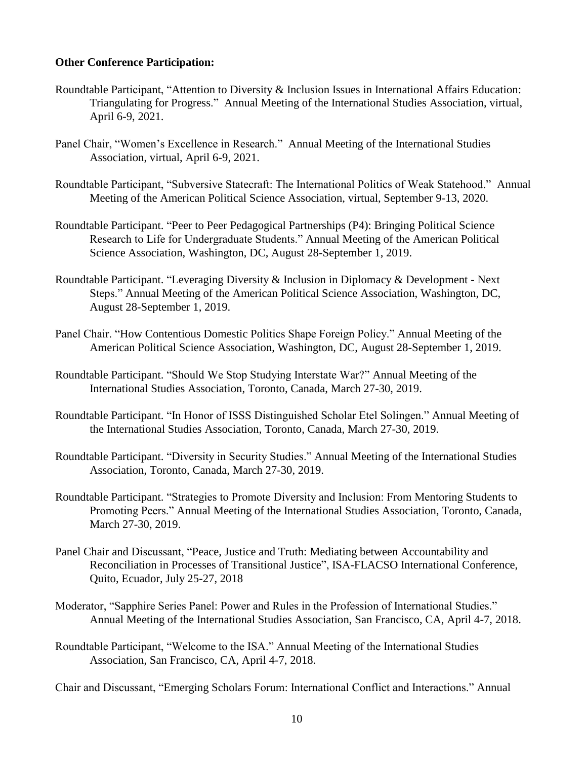#### **Other Conference Participation:**

- Triangulating for Progress." Annual Meeting of the International Studies Association, virtual, Roundtable Participant, "Attention to Diversity & Inclusion Issues in International Affairs Education: April 6-9, 2021.
- Panel Chair, "Women's Excellence in Research." Annual Meeting of the International Studies Association, virtual, April 6-9, 2021.
- Roundtable Participant, "Subversive Statecraft: The International Politics of Weak Statehood." Annual Meeting of the American Political Science Association, virtual, September 9-13, 2020.
- Roundtable Participant. "Peer to Peer Pedagogical Partnerships (P4): Bringing Political Science Research to Life for Undergraduate Students." Annual Meeting of the American Political Science Association, Washington, DC, August 28-September 1, 2019.
- Roundtable Participant. "Leveraging Diversity & Inclusion in Diplomacy & Development Next Steps." Annual Meeting of the American Political Science Association, Washington, DC, August 28-September 1, 2019.
- Panel Chair. "How Contentious Domestic Politics Shape Foreign Policy." Annual Meeting of the American Political Science Association, Washington, DC, August 28-September 1, 2019.
- Roundtable Participant. "Should We Stop Studying Interstate War?" Annual Meeting of the International Studies Association, Toronto, Canada, March 27-30, 2019.
- Roundtable Participant. "In Honor of ISSS Distinguished Scholar Etel Solingen." Annual Meeting of the International Studies Association, Toronto, Canada, March 27-30, 2019.
- Roundtable Participant. "Diversity in Security Studies." Annual Meeting of the International Studies Association, Toronto, Canada, March 27-30, 2019.
- Roundtable Participant. "Strategies to Promote Diversity and Inclusion: From Mentoring Students to Promoting Peers." Annual Meeting of the International Studies Association, Toronto, Canada, March 27-30, 2019.
- Panel Chair and Discussant, "Peace, Justice and Truth: Mediating between Accountability and Reconciliation in Processes of Transitional Justice", ISA-FLACSO International Conference, Quito, Ecuador, July 25-27, 2018
- Moderator, "Sapphire Series Panel: Power and Rules in the Profession of International Studies." Annual Meeting of the International Studies Association, San Francisco, CA, April 4-7, 2018.
- Roundtable Participant, "Welcome to the ISA." Annual Meeting of the International Studies Association, San Francisco, CA, April 4-7, 2018.

Chair and Discussant, "Emerging Scholars Forum: International Conflict and Interactions." Annual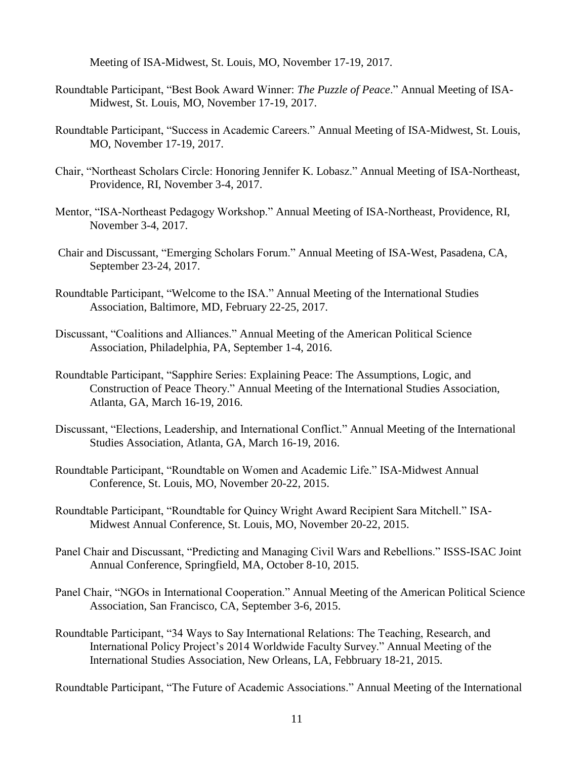Meeting of ISA-Midwest, St. Louis, MO, November 17-19, 2017.

- Roundtable Participant, "Best Book Award Winner: *The Puzzle of Peace*." Annual Meeting of ISA-Midwest, St. Louis, MO, November 17-19, 2017.
- Roundtable Participant, "Success in Academic Careers." Annual Meeting of ISA-Midwest, St. Louis, MO, November 17-19, 2017.
- Chair, "Northeast Scholars Circle: Honoring Jennifer K. Lobasz." Annual Meeting of ISA-Northeast, Providence, RI, November 3-4, 2017.
- Mentor, "ISA-Northeast Pedagogy Workshop." Annual Meeting of ISA-Northeast, Providence, RI, November 3-4, 2017.
- Chair and Discussant, "Emerging Scholars Forum." Annual Meeting of ISA-West, Pasadena, CA, September 23-24, 2017.
- Roundtable Participant, "Welcome to the ISA." Annual Meeting of the International Studies Association, Baltimore, MD, February 22-25, 2017.
- Discussant, "Coalitions and Alliances." Annual Meeting of the American Political Science Association, Philadelphia, PA, September 1-4, 2016.
- Roundtable Participant, "Sapphire Series: Explaining Peace: The Assumptions, Logic, and Construction of Peace Theory." Annual Meeting of the International Studies Association, Atlanta, GA, March 16-19, 2016.
- Discussant, "Elections, Leadership, and International Conflict." Annual Meeting of the International Studies Association, Atlanta, GA, March 16-19, 2016.
- Roundtable Participant, "Roundtable on Women and Academic Life." ISA-Midwest Annual Conference, St. Louis, MO, November 20-22, 2015.
- Roundtable Participant, "Roundtable for Quincy Wright Award Recipient Sara Mitchell." ISA-Midwest Annual Conference, St. Louis, MO, November 20-22, 2015.
- Panel Chair and Discussant, "Predicting and Managing Civil Wars and Rebellions." ISSS-ISAC Joint Annual Conference, Springfield, MA, October 8-10, 2015.
- Panel Chair, "NGOs in International Cooperation." Annual Meeting of the American Political Science Association, San Francisco, CA, September 3-6, 2015.
- Roundtable Participant, "34 Ways to Say International Relations: The Teaching, Research, and International Policy Project's 2014 Worldwide Faculty Survey." Annual Meeting of the International Studies Association, New Orleans, LA, Febbruary 18-21, 2015.

Roundtable Participant, "The Future of Academic Associations." Annual Meeting of the International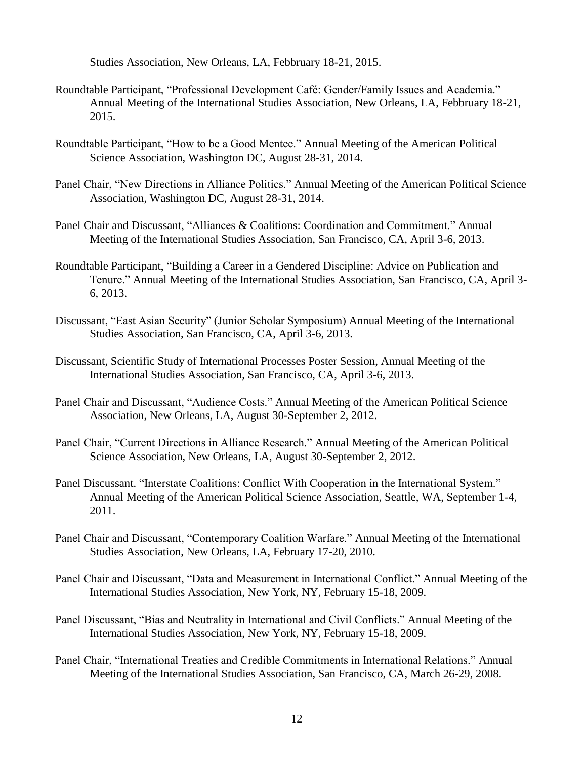Studies Association, New Orleans, LA, Febbruary 18-21, 2015.

- Roundtable Participant, "Professional Development Café: Gender/Family Issues and Academia." Annual Meeting of the International Studies Association, New Orleans, LA, Febbruary 18-21, 2015.
- Roundtable Participant, "How to be a Good Mentee." Annual Meeting of the American Political Science Association, Washington DC, August 28-31, 2014.
- Panel Chair, "New Directions in Alliance Politics." Annual Meeting of the American Political Science Association, Washington DC, August 28-31, 2014.
- Panel Chair and Discussant, "Alliances & Coalitions: Coordination and Commitment." Annual Meeting of the International Studies Association, San Francisco, CA, April 3-6, 2013.
- Roundtable Participant, "Building a Career in a Gendered Discipline: Advice on Publication and Tenure." Annual Meeting of the International Studies Association, San Francisco, CA, April 3- 6, 2013.
- Discussant, "East Asian Security" (Junior Scholar Symposium) Annual Meeting of the International Studies Association, San Francisco, CA, April 3-6, 2013.
- Discussant, Scientific Study of International Processes Poster Session, Annual Meeting of the International Studies Association, San Francisco, CA, April 3-6, 2013.
- Panel Chair and Discussant, "Audience Costs." Annual Meeting of the American Political Science Association, New Orleans, LA, August 30-September 2, 2012.
- Panel Chair, "Current Directions in Alliance Research." Annual Meeting of the American Political Science Association, New Orleans, LA, August 30-September 2, 2012.
- Panel Discussant. "Interstate Coalitions: Conflict With Cooperation in the International System." Annual Meeting of the American Political Science Association, Seattle, WA, September 1-4, 2011.
- Panel Chair and Discussant, "Contemporary Coalition Warfare." Annual Meeting of the International Studies Association, New Orleans, LA, February 17-20, 2010.
- Panel Chair and Discussant, "Data and Measurement in International Conflict." Annual Meeting of the International Studies Association, New York, NY, February 15-18, 2009.
- Panel Discussant, "Bias and Neutrality in International and Civil Conflicts." Annual Meeting of the International Studies Association, New York, NY, February 15-18, 2009.
- Panel Chair, "International Treaties and Credible Commitments in International Relations." Annual Meeting of the International Studies Association, San Francisco, CA, March 26-29, 2008.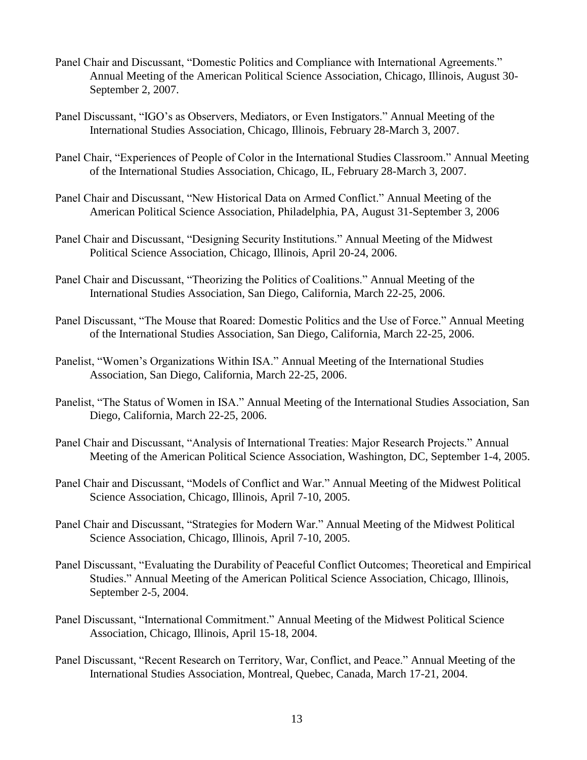- Panel Chair and Discussant, "Domestic Politics and Compliance with International Agreements." Annual Meeting of the American Political Science Association, Chicago, Illinois, August 30- September 2, 2007.
- Panel Discussant, "IGO's as Observers, Mediators, or Even Instigators." Annual Meeting of the International Studies Association, Chicago, Illinois, February 28-March 3, 2007.
- Panel Chair, "Experiences of People of Color in the International Studies Classroom." Annual Meeting of the International Studies Association, Chicago, IL, February 28-March 3, 2007.
- Panel Chair and Discussant, "New Historical Data on Armed Conflict." Annual Meeting of the American Political Science Association, Philadelphia, PA, August 31-September 3, 2006
- Panel Chair and Discussant, "Designing Security Institutions." Annual Meeting of the Midwest Political Science Association, Chicago, Illinois, April 20-24, 2006.
- Panel Chair and Discussant, "Theorizing the Politics of Coalitions." Annual Meeting of the International Studies Association, San Diego, California, March 22-25, 2006.
- Panel Discussant, "The Mouse that Roared: Domestic Politics and the Use of Force." Annual Meeting of the International Studies Association, San Diego, California, March 22-25, 2006.
- Panelist, "Women's Organizations Within ISA." Annual Meeting of the International Studies Association, San Diego, California, March 22-25, 2006.
- Panelist, "The Status of Women in ISA." Annual Meeting of the International Studies Association, San Diego, California, March 22-25, 2006.
- Panel Chair and Discussant, "Analysis of International Treaties: Major Research Projects." Annual Meeting of the American Political Science Association, Washington, DC, September 1-4, 2005.
- Panel Chair and Discussant, "Models of Conflict and War." Annual Meeting of the Midwest Political Science Association, Chicago, Illinois, April 7-10, 2005.
- Panel Chair and Discussant, "Strategies for Modern War." Annual Meeting of the Midwest Political Science Association, Chicago, Illinois, April 7-10, 2005.
- Panel Discussant, "Evaluating the Durability of Peaceful Conflict Outcomes; Theoretical and Empirical Studies." Annual Meeting of the American Political Science Association, Chicago, Illinois, September 2-5, 2004.
- Panel Discussant, "International Commitment." Annual Meeting of the Midwest Political Science Association, Chicago, Illinois, April 15-18, 2004.
- Panel Discussant, "Recent Research on Territory, War, Conflict, and Peace." Annual Meeting of the International Studies Association, Montreal, Quebec, Canada, March 17-21, 2004.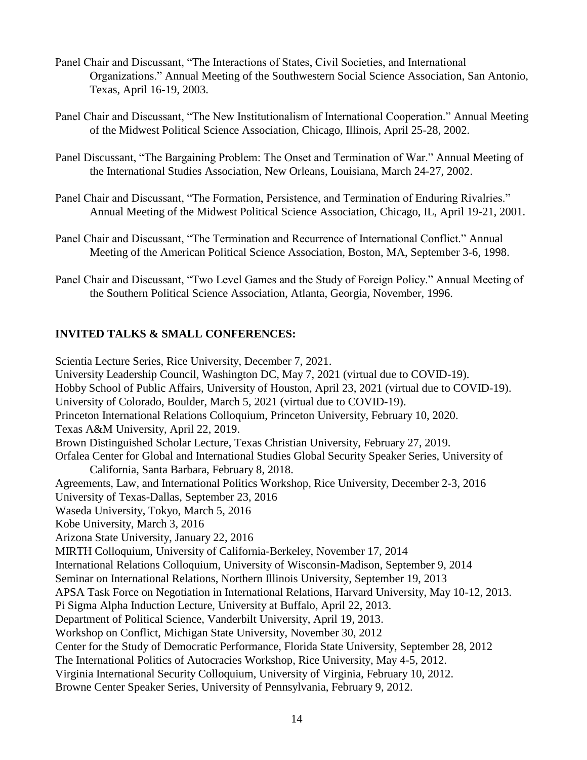- Panel Chair and Discussant, "The Interactions of States, Civil Societies, and International Organizations." Annual Meeting of the Southwestern Social Science Association, San Antonio, Texas, April 16-19, 2003.
- Panel Chair and Discussant, "The New Institutionalism of International Cooperation." Annual Meeting of the Midwest Political Science Association, Chicago, Illinois, April 25-28, 2002.
- Panel Discussant, "The Bargaining Problem: The Onset and Termination of War." Annual Meeting of the International Studies Association, New Orleans, Louisiana, March 24-27, 2002.
- Panel Chair and Discussant, "The Formation, Persistence, and Termination of Enduring Rivalries." Annual Meeting of the Midwest Political Science Association, Chicago, IL, April 19-21, 2001.
- Panel Chair and Discussant, "The Termination and Recurrence of International Conflict." Annual Meeting of the American Political Science Association, Boston, MA, September 3-6, 1998.
- Panel Chair and Discussant, "Two Level Games and the Study of Foreign Policy." Annual Meeting of the Southern Political Science Association, Atlanta, Georgia, November, 1996.

# **INVITED TALKS & SMALL CONFERENCES:**

Scientia Lecture Series, Rice University, December 7, 2021. University Leadership Council, Washington DC, May 7, 2021 (virtual due to COVID-19). Hobby School of Public Affairs, University of Houston, April 23, 2021 (virtual due to COVID-19). University of Colorado, Boulder, March 5, 2021 (virtual due to COVID-19). Princeton International Relations Colloquium, Princeton University, February 10, 2020. Texas A&M University, April 22, 2019. Brown Distinguished Scholar Lecture, Texas Christian University, February 27, 2019. Orfalea Center for Global and International Studies Global Security Speaker Series, University of California, Santa Barbara, February 8, 2018. Agreements, Law, and International Politics Workshop, Rice University, December 2-3, 2016 University of Texas-Dallas, September 23, 2016 Waseda University, Tokyo, March 5, 2016 Kobe University, March 3, 2016 Arizona State University, January 22, 2016 MIRTH Colloquium, University of California-Berkeley, November 17, 2014 International Relations Colloquium, University of Wisconsin-Madison, September 9, 2014 Seminar on International Relations, Northern Illinois University, September 19, 2013 APSA Task Force on Negotiation in International Relations, Harvard University, May 10-12, 2013. Pi Sigma Alpha Induction Lecture, University at Buffalo, April 22, 2013. Department of Political Science, Vanderbilt University, April 19, 2013. Workshop on Conflict, Michigan State University, November 30, 2012 Center for the Study of Democratic Performance, Florida State University, September 28, 2012 The International Politics of Autocracies Workshop, Rice University, May 4-5, 2012. Virginia International Security Colloquium, University of Virginia, February 10, 2012. Browne Center Speaker Series, University of Pennsylvania, February 9, 2012.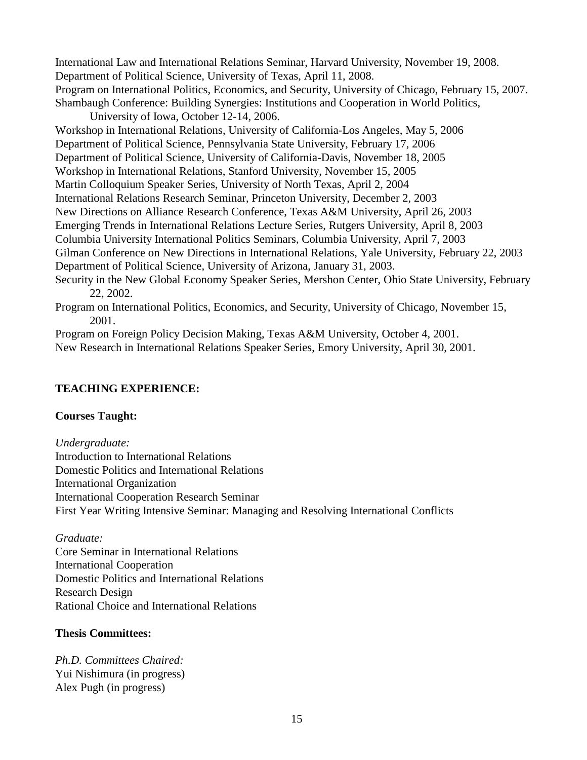International Law and International Relations Seminar, Harvard University, November 19, 2008. Department of Political Science, University of Texas, April 11, 2008. Program on International Politics, Economics, and Security, University of Chicago, February 15, 2007. Shambaugh Conference: Building Synergies: Institutions and Cooperation in World Politics, University of Iowa, October 12-14, 2006.

Workshop in International Relations, University of California-Los Angeles, May 5, 2006 Department of Political Science, Pennsylvania State University, February 17, 2006 Department of Political Science, University of California-Davis, November 18, 2005 Workshop in International Relations, Stanford University, November 15, 2005 Martin Colloquium Speaker Series, University of North Texas, April 2, 2004 International Relations Research Seminar, Princeton University, December 2, 2003 New Directions on Alliance Research Conference, Texas A&M University, April 26, 2003 Emerging Trends in International Relations Lecture Series, Rutgers University, April 8, 2003 Columbia University International Politics Seminars, Columbia University, April 7, 2003 Gilman Conference on New Directions in International Relations, Yale University, February 22, 2003 Department of Political Science, University of Arizona, January 31, 2003. Security in the New Global Economy Speaker Series, Mershon Center, Ohio State University, February 22, 2002.

Program on International Politics, Economics, and Security, University of Chicago, November 15, 2001.

Program on Foreign Policy Decision Making, Texas A&M University, October 4, 2001. New Research in International Relations Speaker Series, Emory University, April 30, 2001.

# **TEACHING EXPERIENCE:**

### **Courses Taught:**

*Undergraduate:*  Introduction to International Relations Domestic Politics and International Relations International Organization International Cooperation Research Seminar First Year Writing Intensive Seminar: Managing and Resolving International Conflicts

### *Graduate:*

Core Seminar in International Relations International Cooperation Domestic Politics and International Relations Research Design Rational Choice and International Relations

### **Thesis Committees:**

*Ph.D. Committees Chaired:*  Yui Nishimura (in progress) Alex Pugh (in progress)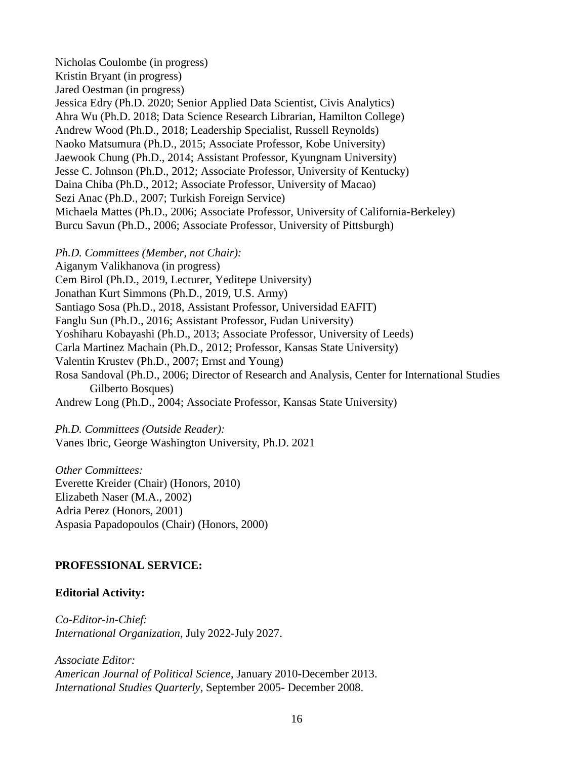Nicholas Coulombe (in progress) Kristin Bryant (in progress) Jared Oestman (in progress) Jessica Edry (Ph.D. 2020; Senior Applied Data Scientist, Civis Analytics) Ahra Wu (Ph.D. 2018; Data Science Research Librarian, Hamilton College) Andrew Wood (Ph.D., 2018; Leadership Specialist, Russell Reynolds) Naoko Matsumura (Ph.D., 2015; Associate Professor, Kobe University) Jaewook Chung (Ph.D., 2014; Assistant Professor, Kyungnam University) Jesse C. Johnson (Ph.D., 2012; Associate Professor, University of Kentucky) Daina Chiba (Ph.D., 2012; Associate Professor, University of Macao) Sezi Anac (Ph.D., 2007; Turkish Foreign Service) Michaela Mattes (Ph.D., 2006; Associate Professor, University of California-Berkeley) Burcu Savun (Ph.D., 2006; Associate Professor, University of Pittsburgh)

*Ph.D. Committees (Member, not Chair):* 

Aiganym Valikhanova (in progress)

Cem Birol (Ph.D., 2019, Lecturer, Yeditepe University)

Jonathan Kurt Simmons (Ph.D., 2019, U.S. Army)

Santiago Sosa (Ph.D., 2018, Assistant Professor, Universidad EAFIT)

Fanglu Sun (Ph.D., 2016; Assistant Professor, Fudan University)

Yoshiharu Kobayashi (Ph.D., 2013; Associate Professor, University of Leeds)

Carla Martinez Machain (Ph.D., 2012; Professor, Kansas State University)

Valentin Krustev (Ph.D., 2007; Ernst and Young)

Rosa Sandoval (Ph.D., 2006; Director of Research and Analysis, Center for International Studies Gilberto Bosques)

Andrew Long (Ph.D., 2004; Associate Professor, Kansas State University)

*Ph.D. Committees (Outside Reader):* 

Vanes Ibric, George Washington University, Ph.D. 2021

*Other Committees:*  Everette Kreider (Chair) (Honors, 2010) Elizabeth Naser (M.A., 2002) Adria Perez (Honors, 2001) Aspasia Papadopoulos (Chair) (Honors, 2000)

### **PROFESSIONAL SERVICE:**

### **Editorial Activity:**

*Co-Editor-in-Chief: International Organization*, July 2022-July 2027.

*Associate Editor: American Journal of Political Science*, January 2010-December 2013. *International Studies Quarterly*, September 2005- December 2008.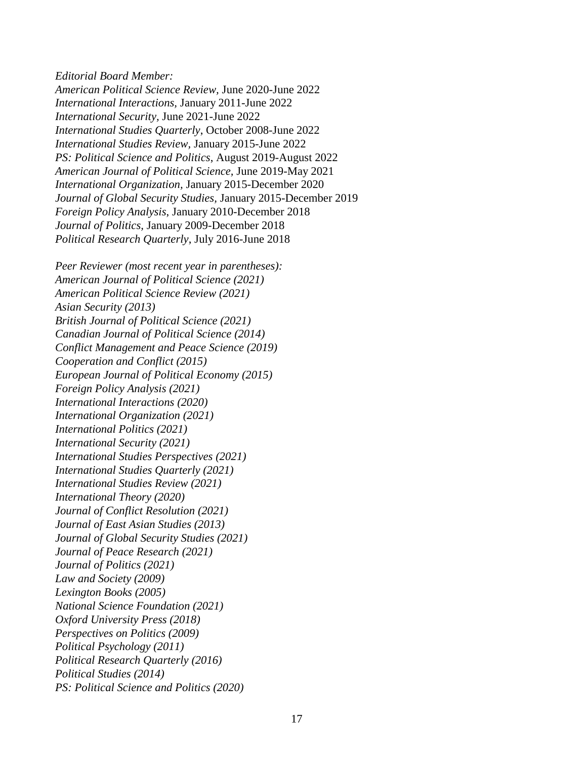*Editorial Board Member:* 

*American Political Science Review,* June 2020-June 2022 *International Interactions,* January 2011-June 2022 *International Security,* June 2021-June 2022 *International Studies Quarterly*, October 2008-June 2022 *International Studies Review,* January 2015-June 2022 *PS: Political Science and Politics*, August 2019-August 2022 *American Journal of Political Science,* June 2019-May 2021 *International Organization,* January 2015-December 2020 *Journal of Global Security Studies,* January 2015-December 2019 *Foreign Policy Analysis*, January 2010-December 2018 *Journal of Politics,* January 2009-December 2018 *Political Research Quarterly*, July 2016-June 2018

*Peer Reviewer (most recent year in parentheses): American Journal of Political Science (2021) American Political Science Review (2021) Asian Security (2013) British Journal of Political Science (2021) Canadian Journal of Political Science (2014) Conflict Management and Peace Science (2019) Cooperation and Conflict (2015) European Journal of Political Economy (2015) Foreign Policy Analysis (2021) International Interactions (2020) International Organization (2021) International Politics (2021) International Security (2021) International Studies Perspectives (2021) International Studies Quarterly (2021) International Studies Review (2021) International Theory (2020) Journal of Conflict Resolution (2021) Journal of East Asian Studies (2013) Journal of Global Security Studies (2021) Journal of Peace Research (2021) Journal of Politics (2021) Law and Society (2009) Lexington Books (2005) National Science Foundation (2021) Oxford University Press (2018) Perspectives on Politics (2009) Political Psychology (2011) Political Research Quarterly (2016) Political Studies (2014) PS: Political Science and Politics (2020)*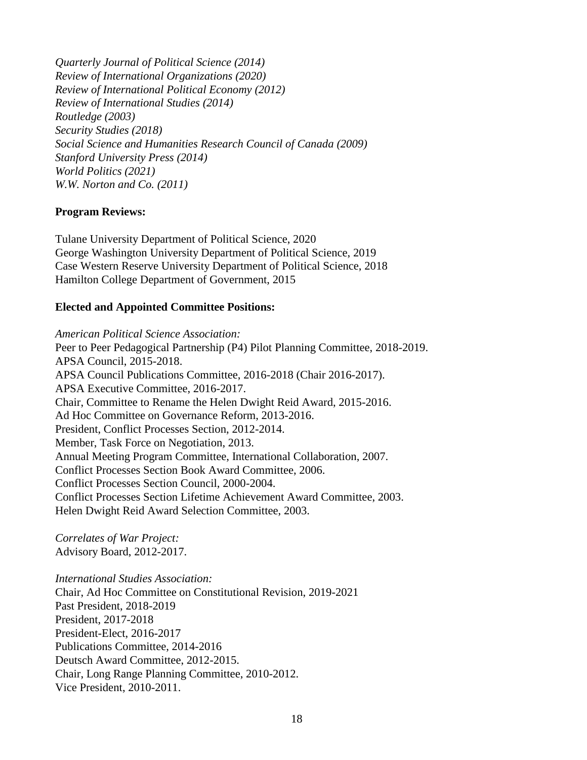*Quarterly Journal of Political Science (2014) Review of International Organizations (2020) Review of International Political Economy (2012) Review of International Studies (2014) Routledge (2003) Security Studies (2018) Social Science and Humanities Research Council of Canada (2009) Stanford University Press (2014) World Politics (2021) W.W. Norton and Co. (2011)* 

### **Program Reviews:**

Tulane University Department of Political Science, 2020 George Washington University Department of Political Science, 2019 Case Western Reserve University Department of Political Science, 2018 Hamilton College Department of Government, 2015

#### **Elected and Appointed Committee Positions:**

*American Political Science Association:* 

Peer to Peer Pedagogical Partnership (P4) Pilot Planning Committee, 2018-2019. APSA Council, 2015-2018. APSA Council Publications Committee, 2016-2018 (Chair 2016-2017). APSA Executive Committee, 2016-2017. Chair, Committee to Rename the Helen Dwight Reid Award, 2015-2016. Ad Hoc Committee on Governance Reform, 2013-2016. President, Conflict Processes Section, 2012-2014. Member, Task Force on Negotiation, 2013. Annual Meeting Program Committee, International Collaboration, 2007. Conflict Processes Section Book Award Committee, 2006. Conflict Processes Section Council, 2000-2004. Conflict Processes Section Lifetime Achievement Award Committee, 2003. Helen Dwight Reid Award Selection Committee, 2003.

*Correlates of War Project:*  Advisory Board, 2012-2017.

*International Studies Association:* 

Chair, Ad Hoc Committee on Constitutional Revision, 2019-2021 Past President, 2018-2019 President, 2017-2018 President-Elect, 2016-2017 Publications Committee, 2014-2016 Deutsch Award Committee, 2012-2015. Chair, Long Range Planning Committee, 2010-2012. Vice President, 2010-2011.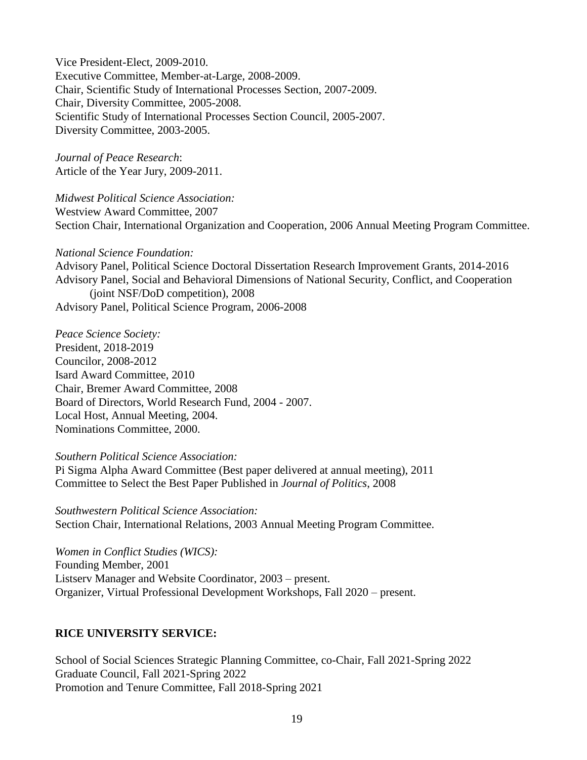Vice President-Elect, 2009-2010. Executive Committee, Member-at-Large, 2008-2009. Chair, Scientific Study of International Processes Section, 2007-2009. Chair, Diversity Committee, 2005-2008. Scientific Study of International Processes Section Council, 2005-2007. Diversity Committee, 2003-2005.

*Journal of Peace Research*: Article of the Year Jury, 2009-2011.

*Midwest Political Science Association:*  Westview Award Committee, 2007 Section Chair, International Organization and Cooperation, 2006 Annual Meeting Program Committee.

*National Science Foundation:*  Advisory Panel, Political Science Doctoral Dissertation Research Improvement Grants, 2014-2016 Advisory Panel, Social and Behavioral Dimensions of National Security, Conflict, and Cooperation (joint NSF/DoD competition), 2008 Advisory Panel, Political Science Program, 2006-2008

*Peace Science Society:*  President, 2018-2019 Councilor, 2008-2012 Isard Award Committee, 2010 Chair, Bremer Award Committee, 2008 Board of Directors, World Research Fund, 2004 - 2007. Local Host, Annual Meeting, 2004. Nominations Committee, 2000.

*Southern Political Science Association:* 

Pi Sigma Alpha Award Committee (Best paper delivered at annual meeting), 2011 Committee to Select the Best Paper Published in *Journal of Politics*, 2008

*Southwestern Political Science Association:*  Section Chair, International Relations, 2003 Annual Meeting Program Committee.

*Women in Conflict Studies (WICS):*  Founding Member, 2001 Listserv Manager and Website Coordinator, 2003 – present. Organizer, Virtual Professional Development Workshops, Fall 2020 – present.

# **RICE UNIVERSITY SERVICE:**

School of Social Sciences Strategic Planning Committee, co-Chair, Fall 2021-Spring 2022 Graduate Council, Fall 2021-Spring 2022 Promotion and Tenure Committee, Fall 2018-Spring 2021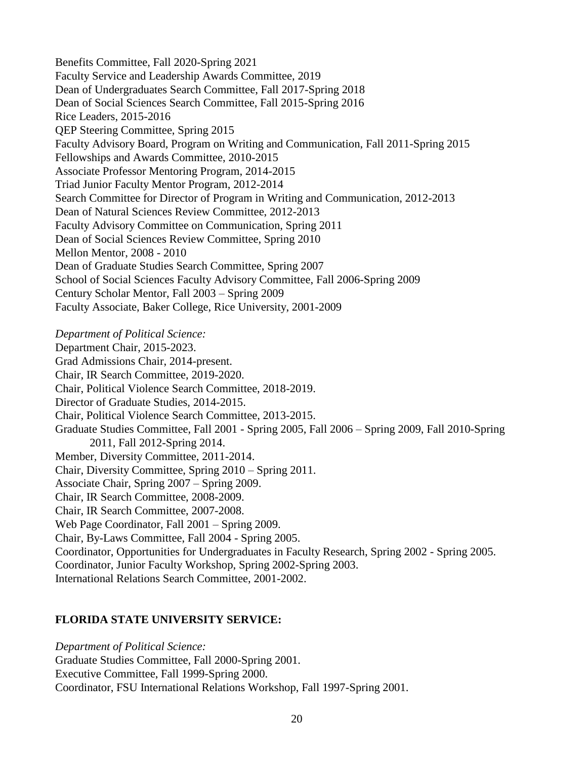Benefits Committee, Fall 2020-Spring 2021 Faculty Service and Leadership Awards Committee, 2019 Dean of Undergraduates Search Committee, Fall 2017-Spring 2018 Dean of Social Sciences Search Committee, Fall 2015-Spring 2016 Rice Leaders, 2015-2016 QEP Steering Committee, Spring 2015 Faculty Advisory Board, Program on Writing and Communication, Fall 2011-Spring 2015 Fellowships and Awards Committee, 2010-2015 Associate Professor Mentoring Program, 2014-2015 Triad Junior Faculty Mentor Program, 2012-2014 Search Committee for Director of Program in Writing and Communication, 2012-2013 Dean of Natural Sciences Review Committee, 2012-2013 Faculty Advisory Committee on Communication, Spring 2011 Dean of Social Sciences Review Committee, Spring 2010 Mellon Mentor, 2008 - 2010 Dean of Graduate Studies Search Committee, Spring 2007 School of Social Sciences Faculty Advisory Committee, Fall 2006-Spring 2009 Century Scholar Mentor, Fall 2003 – Spring 2009 Faculty Associate, Baker College, Rice University, 2001-2009

*Department of Political Science:*  Department Chair, 2015-2023. Grad Admissions Chair, 2014-present. Chair, IR Search Committee, 2019-2020. Chair, Political Violence Search Committee, 2018-2019. Director of Graduate Studies, 2014-2015. Chair, Political Violence Search Committee, 2013-2015. Graduate Studies Committee, Fall 2001 - Spring 2005, Fall 2006 – Spring 2009, Fall 2010-Spring 2011, Fall 2012-Spring 2014. Member, Diversity Committee, 2011-2014. Chair, Diversity Committee, Spring 2010 – Spring 2011. Associate Chair, Spring 2007 – Spring 2009. Chair, IR Search Committee, 2008-2009. Chair, IR Search Committee, 2007-2008. Web Page Coordinator, Fall 2001 – Spring 2009. Chair, By-Laws Committee, Fall 2004 - Spring 2005. Coordinator, Opportunities for Undergraduates in Faculty Research, Spring 2002 - Spring 2005. Coordinator, Junior Faculty Workshop, Spring 2002-Spring 2003. International Relations Search Committee, 2001-2002.

### **FLORIDA STATE UNIVERSITY SERVICE:**

*Department of Political Science:*  Graduate Studies Committee, Fall 2000-Spring 2001. Executive Committee, Fall 1999-Spring 2000. Coordinator, FSU International Relations Workshop, Fall 1997-Spring 2001.